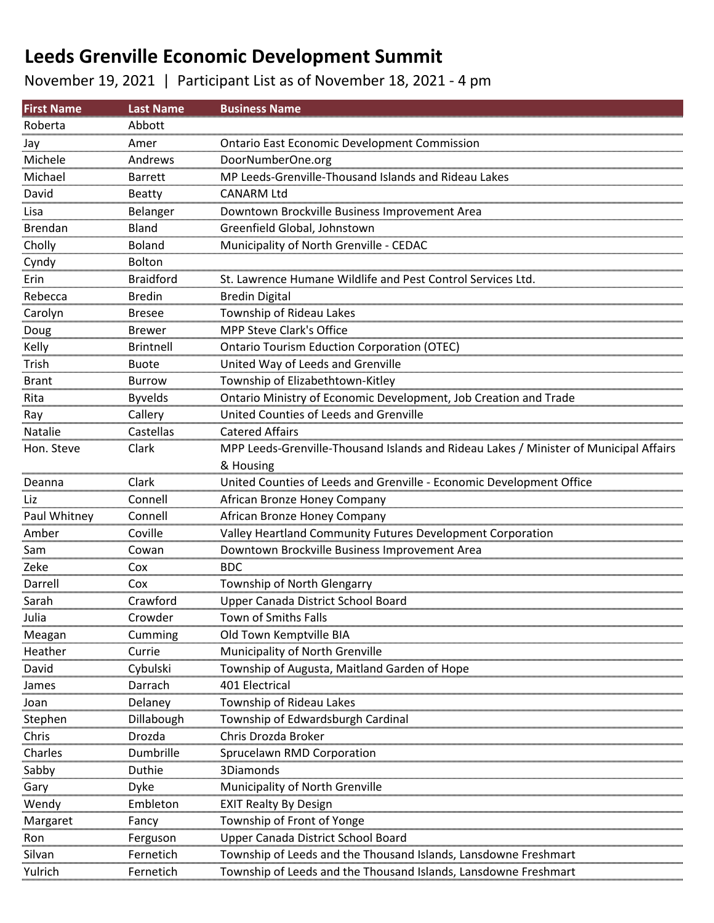November 19, 2021 | Participant List as of November 18, 2021 - 4 pm

| <b>First Name</b> | <b>Last Name</b> | <b>Business Name</b>                                                                  |
|-------------------|------------------|---------------------------------------------------------------------------------------|
| Roberta           | Abbott           |                                                                                       |
| Jay               | Amer             | <b>Ontario East Economic Development Commission</b>                                   |
| Michele           | Andrews          | DoorNumberOne.org                                                                     |
| Michael           | <b>Barrett</b>   | MP Leeds-Grenville-Thousand Islands and Rideau Lakes                                  |
| David             | <b>Beatty</b>    | CANARM Ltd                                                                            |
| Lisa              | Belanger         | Downtown Brockville Business Improvement Area                                         |
| <b>Brendan</b>    | <b>Bland</b>     | Greenfield Global, Johnstown                                                          |
| Cholly            | <b>Boland</b>    | Municipality of North Grenville - CEDAC                                               |
| Cyndy             | <b>Bolton</b>    |                                                                                       |
| Erin              | <b>Braidford</b> | St. Lawrence Humane Wildlife and Pest Control Services Ltd.                           |
| Rebecca           | <b>Bredin</b>    | <b>Bredin Digital</b>                                                                 |
| Carolyn           | <b>Bresee</b>    | Township of Rideau Lakes                                                              |
| Doug              | <b>Brewer</b>    | <b>MPP Steve Clark's Office</b>                                                       |
| Kelly             | <b>Brintnell</b> | <b>Ontario Tourism Eduction Corporation (OTEC)</b>                                    |
| Trish             | <b>Buote</b>     | United Way of Leeds and Grenville                                                     |
| <b>Brant</b>      | Burrow           | Township of Elizabethtown-Kitley                                                      |
| Rita              | <b>Byvelds</b>   | Ontario Ministry of Economic Development, Job Creation and Trade                      |
| Ray               | Callery          | United Counties of Leeds and Grenville                                                |
| Natalie           | Castellas        | <b>Catered Affairs</b>                                                                |
| Hon. Steve        | Clark            | MPP Leeds-Grenville-Thousand Islands and Rideau Lakes / Minister of Municipal Affairs |
|                   |                  | & Housing                                                                             |
| Deanna            | Clark            | United Counties of Leeds and Grenville - Economic Development Office                  |
| Liz               | Connell          | African Bronze Honey Company                                                          |
| Paul Whitney      | Connell          | African Bronze Honey Company                                                          |
| Amber             | Coville          | Valley Heartland Community Futures Development Corporation                            |
| Sam               | Cowan            | Downtown Brockville Business Improvement Area                                         |
| Zeke              | Cox              | <b>BDC</b>                                                                            |
| Darrell           | Cox              | Township of North Glengarry                                                           |
| Sarah             | Crawford         | Upper Canada District School Board                                                    |
| Julia             | Crowder          | Town of Smiths Falls                                                                  |
| Meagan            | Cumming          | Old Town Kemptville BIA                                                               |
| Heather           | Currie           | Municipality of North Grenville                                                       |
| David             | Cybulski         | Township of Augusta, Maitland Garden of Hope                                          |
| James             | Darrach          | 401 Electrical                                                                        |
| Joan              | Delaney          | Township of Rideau Lakes                                                              |
| Stephen           | Dillabough       | Township of Edwardsburgh Cardinal                                                     |
| Chris             | Drozda           | Chris Drozda Broker                                                                   |
| Charles           | Dumbrille        | Sprucelawn RMD Corporation                                                            |
| Sabby             | Duthie           | 3Diamonds                                                                             |
| Gary              | Dyke             | Municipality of North Grenville                                                       |
| Wendy             | Embleton         | <b>EXIT Realty By Design</b>                                                          |
| Margaret          | Fancy            | Township of Front of Yonge                                                            |
| Ron               | Ferguson         | Upper Canada District School Board                                                    |
| Silvan            | Fernetich        | Township of Leeds and the Thousand Islands, Lansdowne Freshmart                       |
| Yulrich           | Fernetich        | Township of Leeds and the Thousand Islands, Lansdowne Freshmart                       |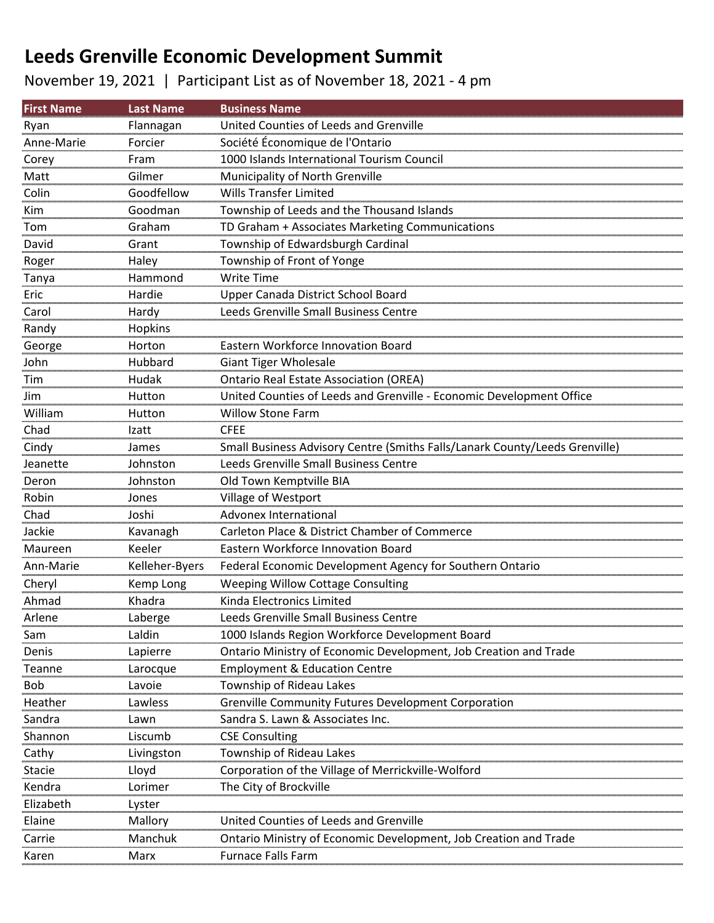### November 19, 2021 | Participant List as of November 18, 2021 - 4 pm

| <b>First Name</b> | <b>Last Name</b> | <b>Business Name</b>                                                        |
|-------------------|------------------|-----------------------------------------------------------------------------|
| Ryan              | Flannagan        | United Counties of Leeds and Grenville                                      |
| Anne-Marie        | Forcier          | Société Économique de l'Ontario                                             |
| Corey             | Fram             | 1000 Islands International Tourism Council                                  |
| Matt              | Gilmer           | Municipality of North Grenville                                             |
| Colin             | Goodfellow       | <b>Wills Transfer Limited</b>                                               |
| Kim               | Goodman          | Township of Leeds and the Thousand Islands                                  |
| Tom               | Graham           | TD Graham + Associates Marketing Communications                             |
| David             | Grant            | Township of Edwardsburgh Cardinal                                           |
| Roger             | Haley            | Township of Front of Yonge                                                  |
| Tanya             | Hammond          | <b>Write Time</b>                                                           |
| Eric              | Hardie           | Upper Canada District School Board                                          |
| Carol             | Hardy            | Leeds Grenville Small Business Centre                                       |
| Randy             | Hopkins          |                                                                             |
| George            | Horton           | Eastern Workforce Innovation Board                                          |
| John              | Hubbard          | <b>Giant Tiger Wholesale</b>                                                |
| Tim               | Hudak            | <b>Ontario Real Estate Association (OREA)</b>                               |
| Jim               | Hutton           | United Counties of Leeds and Grenville - Economic Development Office        |
| William           | Hutton           | <b>Willow Stone Farm</b>                                                    |
| Chad              | Izatt            | <b>CFEE</b>                                                                 |
| Cindy             | James            | Small Business Advisory Centre (Smiths Falls/Lanark County/Leeds Grenville) |
| Jeanette          | Johnston         | Leeds Grenville Small Business Centre                                       |
| Deron             | Johnston         | Old Town Kemptville BIA                                                     |
| Robin             | Jones            | Village of Westport                                                         |
| Chad              | Joshi            | Advonex International                                                       |
| Jackie            | Kavanagh         | Carleton Place & District Chamber of Commerce                               |
| Maureen           | Keeler           | Eastern Workforce Innovation Board                                          |
| Ann-Marie         | Kelleher-Byers   | Federal Economic Development Agency for Southern Ontario                    |
| Cheryl            | Kemp Long        | <b>Weeping Willow Cottage Consulting</b>                                    |
| Ahmad             | Khadra           | Kinda Electronics Limited                                                   |
| Arlene            | Laberge          | Leeds Grenville Small Business Centre                                       |
| Sam               | Laldin           | 1000 Islands Region Workforce Development Board                             |
| Denis             | Lapierre         | Ontario Ministry of Economic Development, Job Creation and Trade            |
| Teanne            | Larocque         | <b>Employment &amp; Education Centre</b>                                    |
| <b>Bob</b>        | Lavoie           | Township of Rideau Lakes                                                    |
| Heather           | Lawless          | Grenville Community Futures Development Corporation                         |
| Sandra            | Lawn             | Sandra S. Lawn & Associates Inc.                                            |
| Shannon           | Liscumb          | <b>CSE Consulting</b>                                                       |
| Cathy             | Livingston       | Township of Rideau Lakes                                                    |
| <b>Stacie</b>     | Lloyd            | Corporation of the Village of Merrickville-Wolford                          |
| Kendra            | Lorimer          | The City of Brockville                                                      |
| Elizabeth         | Lyster           |                                                                             |
| Elaine            | Mallory          | United Counties of Leeds and Grenville                                      |
| Carrie            | Manchuk          | Ontario Ministry of Economic Development, Job Creation and Trade            |
| Karen             | Marx             | <b>Furnace Falls Farm</b>                                                   |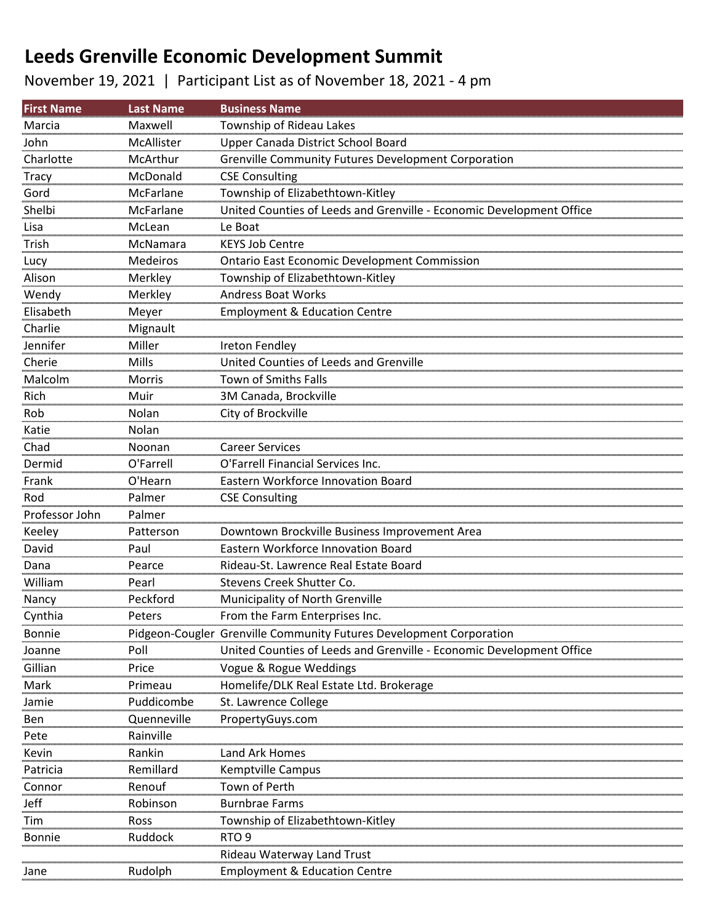November 19, 2021 | Participant List as of November 18, 2021 - 4 pm

| <b>First Name</b> | <b>Last Name</b> | <b>Business Name</b>                                                 |
|-------------------|------------------|----------------------------------------------------------------------|
| Marcia            | Maxwell          | Township of Rideau Lakes                                             |
| John              | McAllister       | Upper Canada District School Board                                   |
| Charlotte         | McArthur         | <b>Grenville Community Futures Development Corporation</b>           |
| <b>Tracy</b>      | McDonald         | <b>CSE Consulting</b>                                                |
| Gord              | McFarlane        | Township of Elizabethtown-Kitley                                     |
| Shelbi            | McFarlane        | United Counties of Leeds and Grenville - Economic Development Office |
| Lisa              | McLean           | Le Boat                                                              |
| Trish             | McNamara         | <b>KEYS Job Centre</b>                                               |
| Lucy              | Medeiros         | <b>Ontario East Economic Development Commission</b>                  |
| Alison            | Merkley          | Township of Elizabethtown-Kitley                                     |
| Wendy             | Merkley          | <b>Andress Boat Works</b>                                            |
| Elisabeth         | Meyer            | <b>Employment &amp; Education Centre</b>                             |
| Charlie           | Mignault         |                                                                      |
| Jennifer          | Miller           | Ireton Fendley                                                       |
| Cherie            | Mills            | United Counties of Leeds and Grenville                               |
| Malcolm           | Morris           | Town of Smiths Falls                                                 |
| Rich              | Muir             | 3M Canada, Brockville                                                |
| Rob               | Nolan            | City of Brockville                                                   |
| Katie             | Nolan            |                                                                      |
| Chad              | Noonan           | <b>Career Services</b>                                               |
| Dermid            | O'Farrell        | O'Farrell Financial Services Inc.                                    |
| Frank             | O'Hearn          | Eastern Workforce Innovation Board                                   |
| Rod               | Palmer           | <b>CSE Consulting</b>                                                |
| Professor John    | Palmer           |                                                                      |
| Keeley            | Patterson        | Downtown Brockville Business Improvement Area                        |
| David             | Paul             | Eastern Workforce Innovation Board                                   |
| Dana              | Pearce           | Rideau-St. Lawrence Real Estate Board                                |
| William           | Pearl            | Stevens Creek Shutter Co.                                            |
| Nancy             | Peckford         | Municipality of North Grenville                                      |
| Cynthia           | Peters           | From the Farm Enterprises Inc.                                       |
| <b>Bonnie</b>     |                  | Pidgeon-Cougler Grenville Community Futures Development Corporation  |
| Joanne            | Poll             | United Counties of Leeds and Grenville - Economic Development Office |
| Gillian           | Price            | Vogue & Rogue Weddings                                               |
| Mark              | Primeau          | Homelife/DLK Real Estate Ltd. Brokerage                              |
| Jamie             | Puddicombe       | St. Lawrence College                                                 |
| Ben               | Quenneville      | PropertyGuys.com                                                     |
| Pete              | Rainville        |                                                                      |
| Kevin             | Rankin           | Land Ark Homes                                                       |
| Patricia          | Remillard        | <b>Kemptville Campus</b>                                             |
| Connor            | Renouf           | Town of Perth                                                        |
| Jeff              | Robinson         | <b>Burnbrae Farms</b>                                                |
| Tim               | Ross             | Township of Elizabethtown-Kitley                                     |
| <b>Bonnie</b>     | Ruddock          | RTO <sub>9</sub>                                                     |
|                   |                  | Rideau Waterway Land Trust                                           |
| Jane              | Rudolph          | <b>Employment &amp; Education Centre</b>                             |
|                   |                  |                                                                      |